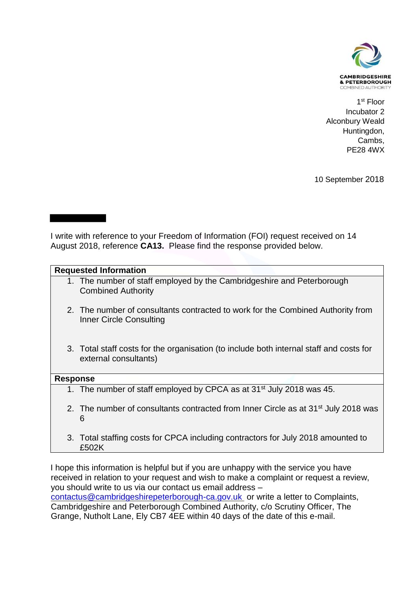

 1 st Floor Incubator 2 Alconbury Weald Huntingdon, Cambs, PE28 4WX

10 September 2018

## I write with reference to your Freedom of Information (FOI) request received on 14 August 2018, reference **CA13.** Please find the response provided below.

## **Requested Information**

- 1. The number of staff employed by the Cambridgeshire and Peterborough Combined Authority
- 2. The number of consultants contracted to work for the Combined Authority from Inner Circle Consulting
- 3. Total staff costs for the organisation (to include both internal staff and costs for external consultants)

## **Response**

- 1. The number of staff employed by CPCA as at 31<sup>st</sup> July 2018 was 45.
- 2. The number of consultants contracted from Inner Circle as at 31<sup>st</sup> July 2018 was 6
- 3. Total staffing costs for CPCA including contractors for July 2018 amounted to £502K

I hope this information is helpful but if you are unhappy with the service you have received in relation to your request and wish to make a complaint or request a review, you should write to us via our contact us email address – [contactus@cambridgeshirepeterborough-ca.gov.uk](mailto:contactus@cambridgeshirepeterborough-ca.gov.uk) or write a letter to Complaints, Cambridgeshire and Peterborough Combined Authority, c/o Scrutiny Officer, The Grange, Nutholt Lane, Ely CB7 4EE within 40 days of the date of this e-mail.